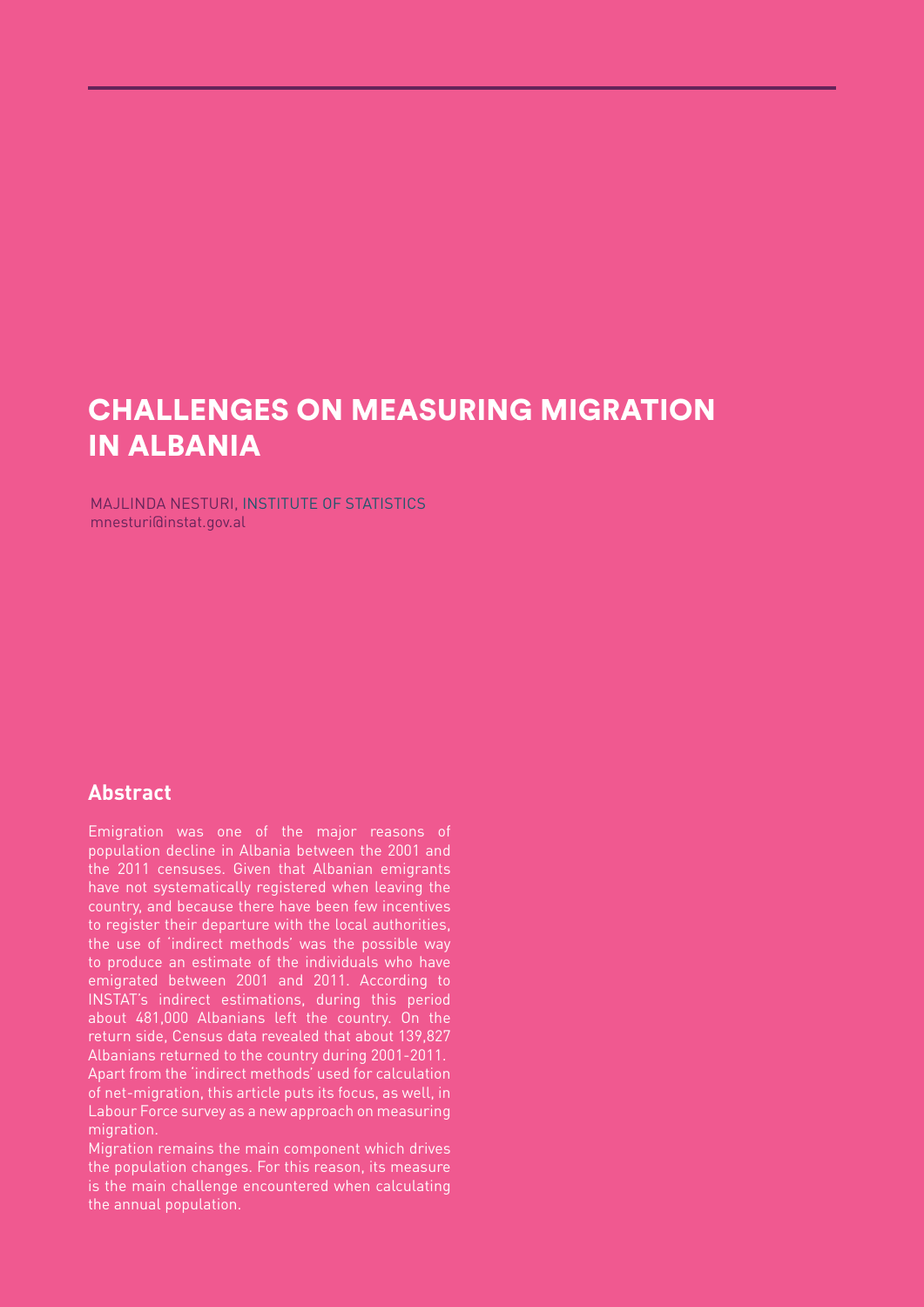# CHALLENGES ON MEASURING MIGRATION IN ALBANIA

MAJLINDA NESTURI, INSTITUTE OF STATISTICS mnesturi@instat.gov.al

#### **Abstract**

Emigration was one of the major reasons of population decline in Albania between the 2001 and the 2011 censuses. Given that Albanian emigrants have not systematically registered when leaving the country, and because there have been few incentives to register their departure with the local authorities, the use of 'indirect methods' was the possible way to produce an estimate of the individuals who have emigrated between 2001 and 2011. According to INSTAT's indirect estimations, during this period about 481,000 Albanians left the country. On the return side, Census data revealed that about 139,827 Albanians returned to the country during 2001-2011. Apart from the 'indirect methods' used for calculation of net-migration, this article puts its focus, as well, in Labour Force survey as a new approach on measuring migration.

Migration remains the main component which drives the population changes. For this reason, its measure is the main challenge encountered when calculating the annual population.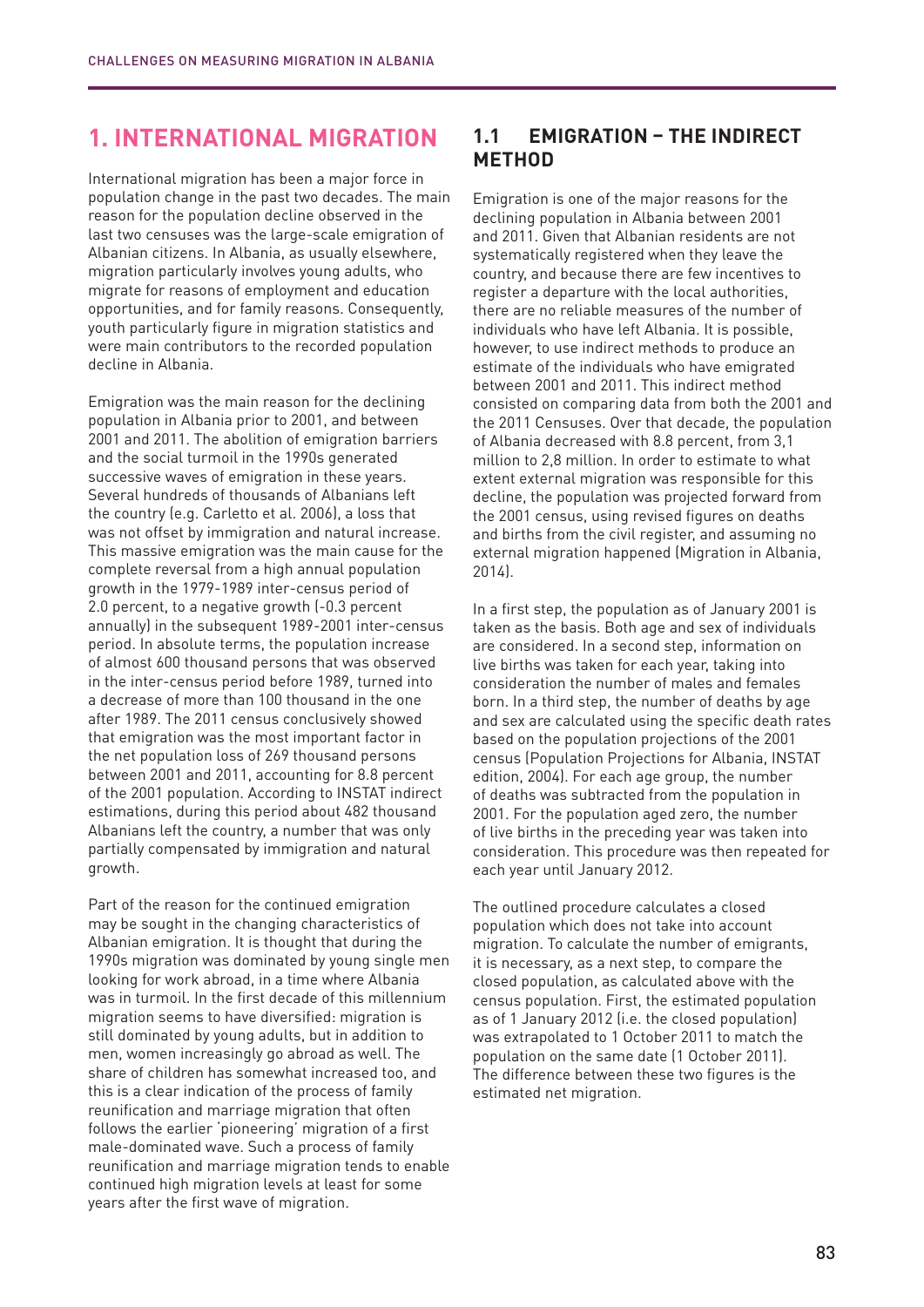### **1. INTERNATIONAL MIGRATION**

International migration has been a major force in population change in the past two decades. The main reason for the population decline observed in the last two censuses was the large-scale emigration of Albanian citizens. In Albania, as usually elsewhere, migration particularly involves young adults, who migrate for reasons of employment and education opportunities, and for family reasons. Consequently, youth particularly figure in migration statistics and were main contributors to the recorded population decline in Albania.

Emigration was the main reason for the declining population in Albania prior to 2001, and between 2001 and 2011. The abolition of emigration barriers and the social turmoil in the 1990s generated successive waves of emigration in these years. Several hundreds of thousands of Albanians left the country (e.g. Carletto et al. 2006), a loss that was not offset by immigration and natural increase. This massive emigration was the main cause for the complete reversal from a high annual population growth in the 1979-1989 inter-census period of 2.0 percent, to a negative growth (-0.3 percent annually) in the subsequent 1989-2001 inter-census period. In absolute terms, the population increase of almost 600 thousand persons that was observed in the inter-census period before 1989, turned into a decrease of more than 100 thousand in the one after 1989. The 2011 census conclusively showed that emigration was the most important factor in the net population loss of 269 thousand persons between 2001 and 2011, accounting for 8.8 percent of the 2001 population. According to INSTAT indirect estimations, during this period about 482 thousand Albanians left the country, a number that was only partially compensated by immigration and natural growth.

Part of the reason for the continued emigration may be sought in the changing characteristics of Albanian emigration. It is thought that during the 1990s migration was dominated by young single men looking for work abroad, in a time where Albania was in turmoil. In the first decade of this millennium migration seems to have diversified: migration is still dominated by young adults, but in addition to men, women increasingly go abroad as well. The share of children has somewhat increased too, and this is a clear indication of the process of family reunification and marriage migration that often follows the earlier 'pioneering' migration of a first male-dominated wave. Such a process of family reunification and marriage migration tends to enable continued high migration levels at least for some years after the first wave of migration.

#### **1.1 EMIGRATION – THE INDIRECT METHOD**

Emigration is one of the major reasons for the declining population in Albania between 2001 and 2011. Given that Albanian residents are not systematically registered when they leave the country, and because there are few incentives to register a departure with the local authorities, there are no reliable measures of the number of individuals who have left Albania. It is possible, however, to use indirect methods to produce an estimate of the individuals who have emigrated between 2001 and 2011. This indirect method consisted on comparing data from both the 2001 and the 2011 Censuses. Over that decade, the population of Albania decreased with 8.8 percent, from 3,1 million to 2,8 million. In order to estimate to what extent external migration was responsible for this decline, the population was projected forward from the 2001 census, using revised figures on deaths and births from the civil register, and assuming no external migration happened (Migration in Albania, 2014).

In a first step, the population as of January 2001 is taken as the basis. Both age and sex of individuals are considered. In a second step, information on live births was taken for each year, taking into consideration the number of males and females born. In a third step, the number of deaths by age and sex are calculated using the specific death rates based on the population projections of the 2001 census (Population Projections for Albania, INSTAT edition, 2004). For each age group, the number of deaths was subtracted from the population in 2001. For the population aged zero, the number of live births in the preceding year was taken into consideration. This procedure was then repeated for each year until January 2012.

The outlined procedure calculates a closed population which does not take into account migration. To calculate the number of emigrants, it is necessary, as a next step, to compare the closed population, as calculated above with the census population. First, the estimated population as of 1 January 2012 (i.e. the closed population) was extrapolated to 1 October 2011 to match the population on the same date (1 October 2011). The difference between these two figures is the estimated net migration.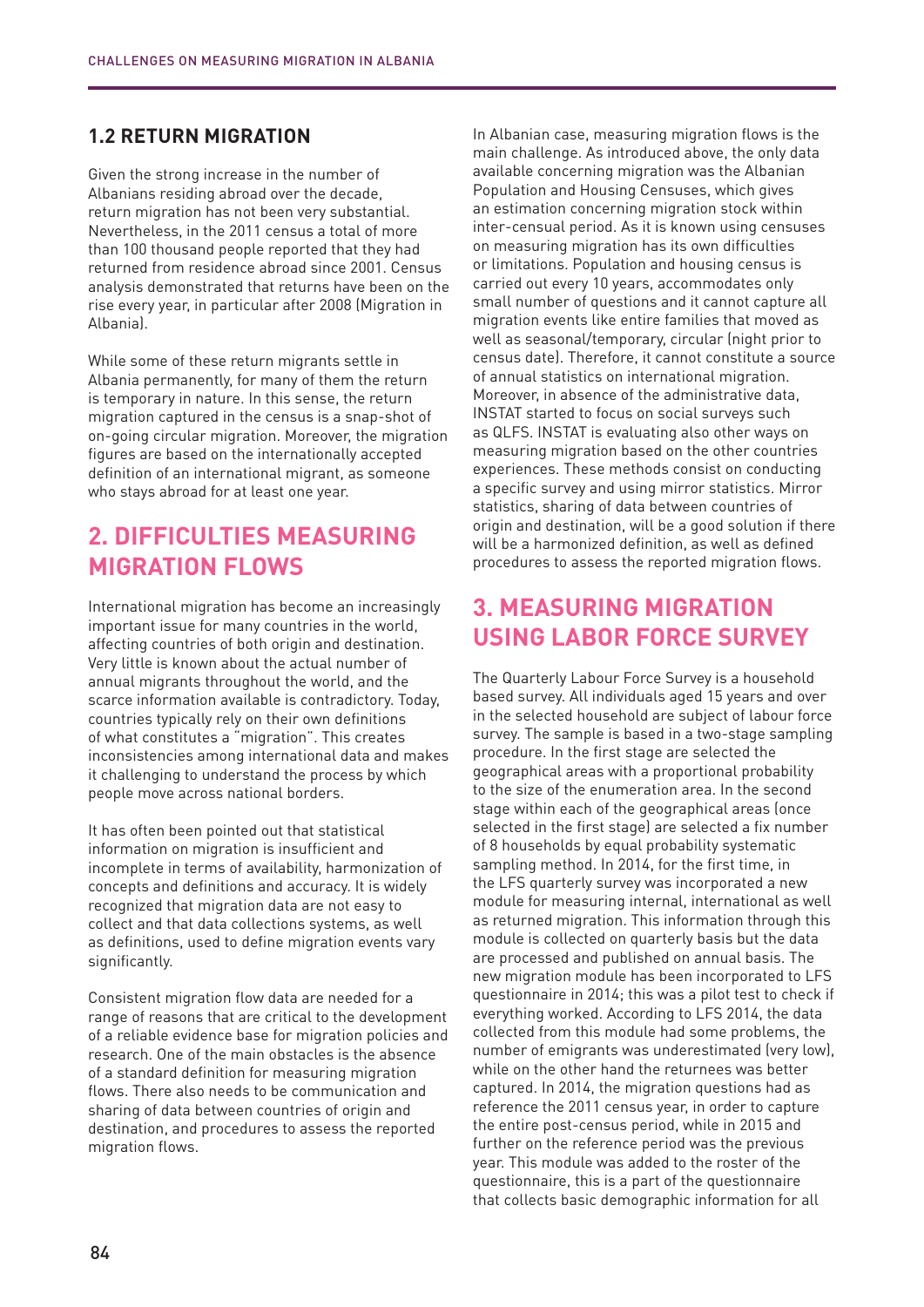#### **1.2 RETURN MIGRATION**

Given the strong increase in the number of Albanians residing abroad over the decade, return migration has not been very substantial. Nevertheless, in the 2011 census a total of more than 100 thousand people reported that they had returned from residence abroad since 2001. Census analysis demonstrated that returns have been on the rise every year, in particular after 2008 (Migration in Albania).

While some of these return migrants settle in Albania permanently, for many of them the return is temporary in nature. In this sense, the return migration captured in the census is a snap-shot of on-going circular migration. Moreover, the migration figures are based on the internationally accepted definition of an international migrant, as someone who stays abroad for at least one year.

### **2. DIFFICULTIES MEASURING MIGRATION FLOWS**

International migration has become an increasingly important issue for many countries in the world, affecting countries of both origin and destination. Very little is known about the actual number of annual migrants throughout the world, and the scarce information available is contradictory. Today, countries typically rely on their own definitions of what constitutes a "migration". This creates inconsistencies among international data and makes it challenging to understand the process by which people move across national borders.

It has often been pointed out that statistical information on migration is insufficient and incomplete in terms of availability, harmonization of concepts and definitions and accuracy. It is widely recognized that migration data are not easy to collect and that data collections systems, as well as definitions, used to define migration events vary significantly.

Consistent migration flow data are needed for a range of reasons that are critical to the development of a reliable evidence base for migration policies and research. One of the main obstacles is the absence of a standard definition for measuring migration flows. There also needs to be communication and sharing of data between countries of origin and destination, and procedures to assess the reported migration flows.

In Albanian case, measuring migration flows is the main challenge. As introduced above, the only data available concerning migration was the Albanian Population and Housing Censuses, which gives an estimation concerning migration stock within inter-censual period. As it is known using censuses on measuring migration has its own difficulties or limitations. Population and housing census is carried out every 10 years, accommodates only small number of questions and it cannot capture all migration events like entire families that moved as well as seasonal/temporary, circular (night prior to census date). Therefore, it cannot constitute a source of annual statistics on international migration. Moreover, in absence of the administrative data, INSTAT started to focus on social surveys such as QLFS. INSTAT is evaluating also other ways on measuring migration based on the other countries experiences. These methods consist on conducting a specific survey and using mirror statistics. Mirror statistics, sharing of data between countries of origin and destination, will be a good solution if there will be a harmonized definition, as well as defined procedures to assess the reported migration flows.

## **3. MEASURING MIGRATION USING LABOR FORCE SURVEY**

The Quarterly Labour Force Survey is a household based survey. All individuals aged 15 years and over in the selected household are subject of labour force survey. The sample is based in a two-stage sampling procedure. In the first stage are selected the geographical areas with a proportional probability to the size of the enumeration area. In the second stage within each of the geographical areas (once selected in the first stage) are selected a fix number of 8 households by equal probability systematic sampling method. In 2014, for the first time, in the LFS quarterly survey was incorporated a new module for measuring internal, international as well as returned migration. This information through this module is collected on quarterly basis but the data are processed and published on annual basis. The new migration module has been incorporated to LFS questionnaire in 2014; this was a pilot test to check if everything worked. According to LFS 2014, the data collected from this module had some problems, the number of emigrants was underestimated (very low), while on the other hand the returnees was better captured. In 2014, the migration questions had as reference the 2011 census year, in order to capture the entire post-census period, while in 2015 and further on the reference period was the previous year. This module was added to the roster of the questionnaire, this is a part of the questionnaire that collects basic demographic information for all